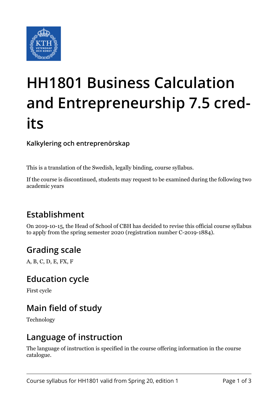

# **HH1801 Business Calculation and Entrepreneurship 7.5 credits**

**Kalkylering och entreprenörskap**

This is a translation of the Swedish, legally binding, course syllabus.

If the course is discontinued, students may request to be examined during the following two academic years

## **Establishment**

On 2019-10-15, the Head of School of CBH has decided to revise this official course syllabus to apply from the spring semester 2020 (registration number C-2019-1884).

#### **Grading scale**

A, B, C, D, E, FX, F

#### **Education cycle**

First cycle

## **Main field of study**

Technology

#### **Language of instruction**

The language of instruction is specified in the course offering information in the course catalogue.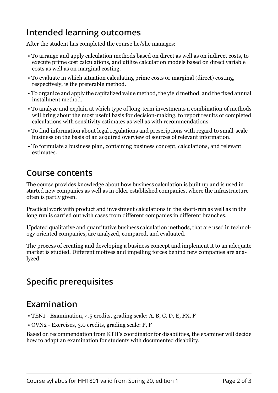## **Intended learning outcomes**

After the student has completed the course he/she manages:

- To arrange and apply calculation methods based on direct as well as on indirect costs, to execute prime cost calculations, and utilize calculation models based on direct variable costs as well as on marginal costing.
- To evaluate in which situation calculating prime costs or marginal (direct) costing, respectively, is the preferable method.
- To organize and apply the capitalized value method, the yield method, and the fixed annual installment method.
- To analyze and explain at which type of long-term investments a combination of methods will bring about the most useful basis for decision-making, to report results of completed calculations with sensitivity estimates as well as with recommendations.
- To find information about legal regulations and prescriptions with regard to small-scale business on the basis of an acquired overview of sources of relevant information.
- To formulate a business plan, containing business concept, calculations, and relevant estimates.

#### **Course contents**

The course provides knowledge about how business calculation is built up and is used in started new companies as well as in older established companies, where the infrastructure often is partly given.

Practical work with product and investment calculations in the short-run as well as in the long run is carried out with cases from different companies in different branches.

Updated qualitative and quantitative business calculation methods, that are used in technology oriented companies, are analyzed, compared, and evaluated.

The process of creating and developing a business concept and implement it to an adequate market is studied. Different motives and impelling forces behind new companies are analyzed.

## **Specific prerequisites**

#### **Examination**

- TEN1 Examination, 4.5 credits, grading scale: A, B, C, D, E, FX, F
- ÖVN2 Exercises, 3.0 credits, grading scale: P, F

Based on recommendation from KTH's coordinator for disabilities, the examiner will decide how to adapt an examination for students with documented disability.